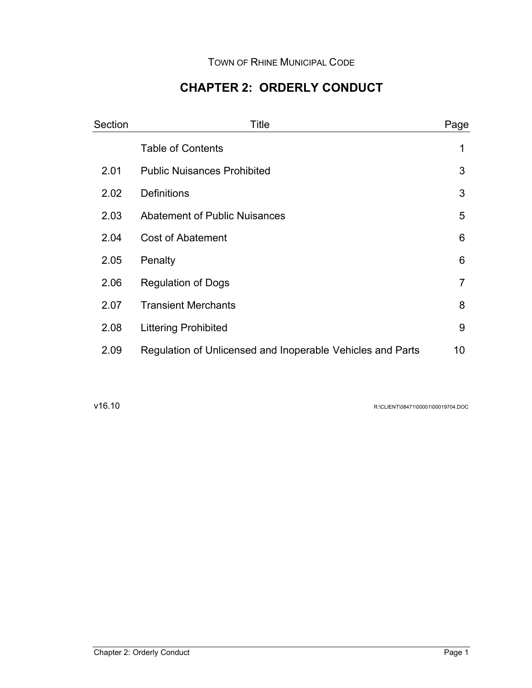TOWN OF RHINE MUNICIPAL CODE

# **CHAPTER 2: ORDERLY CONDUCT**

| Section | Title                                                      | Page           |
|---------|------------------------------------------------------------|----------------|
|         | <b>Table of Contents</b>                                   | 1              |
| 2.01    | <b>Public Nuisances Prohibited</b>                         | 3              |
| 2.02    | <b>Definitions</b>                                         | 3              |
| 2.03    | <b>Abatement of Public Nuisances</b>                       | 5              |
| 2.04    | <b>Cost of Abatement</b>                                   | 6              |
| 2.05    | Penalty                                                    | 6              |
| 2.06    | <b>Regulation of Dogs</b>                                  | $\overline{7}$ |
| 2.07    | <b>Transient Merchants</b>                                 | 8              |
| 2.08    | <b>Littering Prohibited</b>                                | 9              |
| 2.09    | Regulation of Unlicensed and Inoperable Vehicles and Parts | 10             |

v16.10 R:\CLIENT\08471\00001\00019704.DOC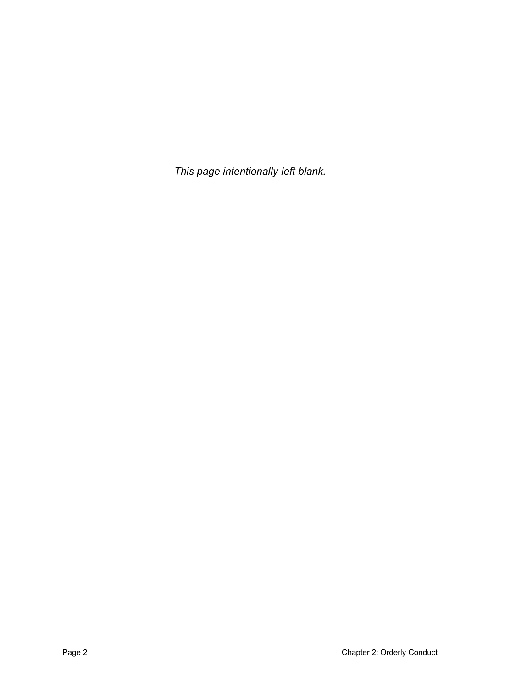*This page intentionally left blank.*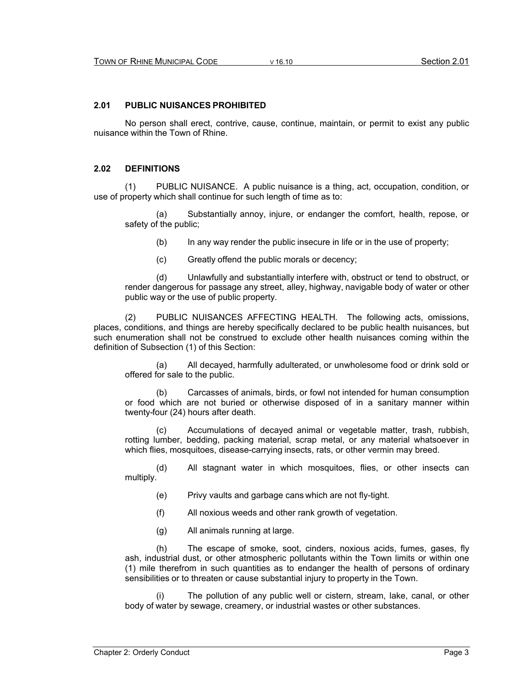# **2.01 PUBLIC NUISANCES PROHIBITED**

No person shall erect, contrive, cause, continue, maintain, or permit to exist any public nuisance within the Town of Rhine.

#### **2.02 DEFINITIONS**

(1) PUBLIC NUISANCE. A public nuisance is a thing, act, occupation, condition, or use of property which shall continue for such length of time as to:

(a) Substantially annoy, injure, or endanger the comfort, health, repose, or safety of the public;

(b) In any way render the public insecure in life or in the use of property;

(c) Greatly offend the public morals or decency;

(d) Unlawfully and substantially interfere with, obstruct or tend to obstruct, or render dangerous for passage any street, alley, highway, navigable body of water or other public wayor the use of public property.

(2) PUBLIC NUISANCES AFFECTING HEALTH. The following acts, omissions, places, conditions, and things are hereby specifically declared to be public health nuisances, but such enumeration shall not be construed to exclude other health nuisances coming within the definition of Subsection (1) of this Section:

(a) All decayed, harmfully adulterated, or unwholesome food or drink sold or offered for sale to the public.

(b) Carcasses of animals, birds, or fowl not intended for human consumption or food which are not buried or otherwise disposed of in a sanitary manner within twenty-four (24) hours after death.

(c) Accumulations of decayed animal or vegetable matter, trash, rubbish, rotting lumber, bedding, packing material, scrap metal, or any material whatsoever in which flies, mosquitoes, disease-carrying insects, rats, or other vermin may breed.

(d) All stagnant water in which mosquitoes, flies, or other insects can multiply.

- (e) Privy vaults and garbage cans which are not fly-tight.
- (f) All noxious weeds and other rank growth of vegetation.
- (g) All animals running at large.

(h) The escape of smoke, soot, cinders, noxious acids, fumes, gases, fly ash, industrial dust, or other atmospheric pollutants within the Town limits or within one (1) mile therefrom in such quantities as to endanger the health of persons of ordinary sensibilities or to threaten or cause substantial injury to property in the Town.

The pollution of any public well or cistern, stream, lake, canal, or other body of water by sewage, creamery, or industrial wastes or other substances.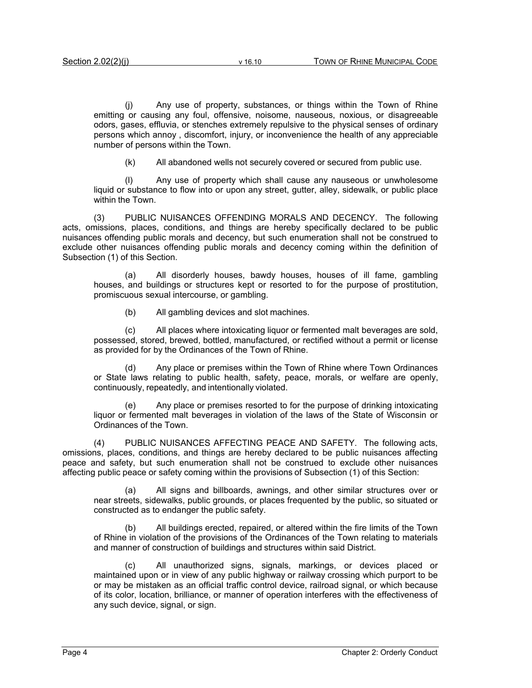(j) Any use of property, substances, or things within the Town of Rhine emitting or causing any foul, offensive, noisome, nauseous, noxious, or disagreeable odors, gases, effluvia, or stenches extremely repulsive to the physical senses of ordinary persons which annoy , discomfort, injury, or inconvenience the health of any appreciable number of persons within the Town.

(k) All abandoned wells not securely covered or secured from public use.

(l) Any use of property which shall cause any nauseous or unwholesome liquid or substance to flow into or upon any street, gutter, alley, sidewalk, or public place within the Town.

(3) PUBLIC NUISANCES OFFENDING MORALS AND DECENCY. The following acts, omissions, places, conditions, and things are hereby specifically declared to be public nuisances offending public morals and decency, but such enumeration shall not be construed to exclude other nuisances offending public morals and decency coming within the definition of Subsection (1) of this Section.

(a) All disorderly houses, bawdy houses, houses of ill fame, gambling houses, and buildings or structures kept or resorted to for the purpose of prostitution, promiscuous sexual intercourse, or gambling.

(b) All gambling devices and slot machines.

(c) All places where intoxicating liquor or fermented malt beverages are sold, possessed, stored, brewed, bottled, manufactured, or rectified without a permit or license as provided for by the Ordinances of the Town of Rhine.

(d) Any place or premises within the Town of Rhine where Town Ordinances or State laws relating to public health, safety, peace, morals, or welfare are openly, continuously, repeatedly, and intentionally violated.

(e) Any place or premises resorted to for the purpose of drinking intoxicating liquor or fermented malt beverages in violation of the laws of the State of Wisconsin or Ordinances of the Town.

(4) PUBLIC NUISANCES AFFECTING PEACE AND SAFETY. The following acts, omissions, places, conditions, and things are hereby declared to be public nuisances affecting peace and safety, but such enumeration shall not be construed to exclude other nuisances affecting public peace or safety coming within the provisions of Subsection (1) of this Section:

All signs and billboards, awnings, and other similar structures over or near streets, sidewalks, public grounds, or places frequented by the public, so situated or constructed as to endanger the public safety.

(b) All buildings erected, repaired, or altered within the fire limits of the Town of Rhine in violation of the provisions of the Ordinances of the Town relating to materials and manner of construction of buildings and structures within said District.

All unauthorized signs, signals, markings, or devices placed or maintained upon or in view of any public highway or railway crossing which purport to be or may be mistaken as an official traffic control device, railroad signal, or which because of its color, location, brilliance, or manner of operation interferes with the effectiveness of any such device, signal, or sign.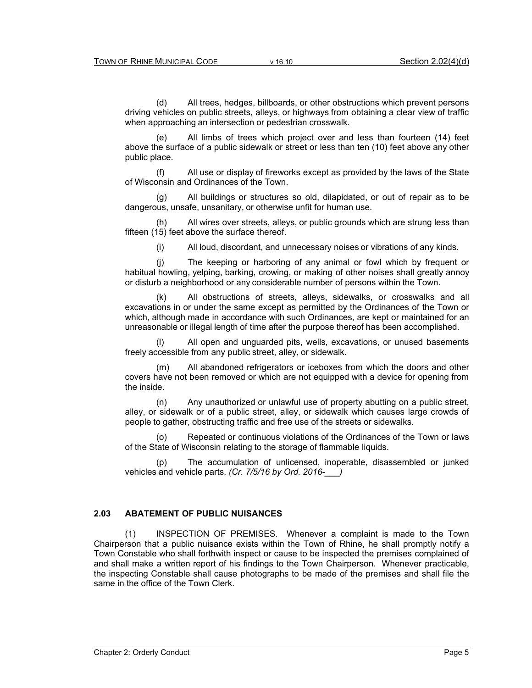(d) All trees, hedges, billboards, or other obstructions which prevent persons driving vehicles on public streets, alleys, or highways from obtaining a clear view of traffic when approaching an intersection or pedestrian crosswalk.

(e) All limbs of trees which project over and less than fourteen (14) feet above the surface of a public sidewalk or street or less than ten (10) feet above any other public place.

(f) All use or display of fireworks except as provided by the laws of the State of Wisconsin and Ordinances of the Town.

(g) All buildings or structures so old, dilapidated, or out of repair as to be dangerous, unsafe, unsanitary, or otherwise unfit for human use.

(h) All wires over streets, alleys, or public grounds which are strung less than fifteen (15) feet above the surface thereof.

(i) All loud, discordant, and unnecessary noisesor vibrations of any kinds.

(j) The keeping or harboring of any animal or fowl which by frequent or habitual howling, yelping, barking, crowing, or making of other noises shall greatly annoy or disturb a neighborhood or any considerable number of persons within the Town.

(k) All obstructions of streets, alleys, sidewalks, or crosswalks and all excavations in or under the same except as permitted by the Ordinances of the Town or which, although made in accordance with such Ordinances, are kept or maintained for an unreasonable or illegal length of time after the purpose thereof has been accomplished.

All open and unguarded pits, wells, excavations, or unused basements freely accessible from any public street, alley, or sidewalk.

(m) All abandoned refrigerators or iceboxes from which the doors and other covers have not been removed or which are not equipped with a device for opening from the inside.

(n) Any unauthorized or unlawful use of property abutting on a public street, alley, or sidewalk or of a public street, alley, or sidewalk which causes large crowds of people to gather, obstructing traffic and free use of the streets or sidewalks.

Repeated or continuous violations of the Ordinances of the Town or laws of the State of Wisconsin relating to the storage of flammable liquids.

(p) The accumulation of unlicensed, inoperable, disassembled or junked vehicles and vehicle parts. *(Cr. 7/5/16 by Ord. 2016-\_\_\_)*

#### **2.03 ABATEMENT OF PUBLIC NUISANCES**

(1) INSPECTION OF PREMISES. Whenever a complaint is made to the Town Chairperson that a public nuisance exists within the Town of Rhine, he shall promptly notify a Town Constable who shall forthwith inspect or cause to be inspected the premises complained of and shall make a written report of his findings to the Town Chairperson. Whenever practicable, the inspecting Constable shall cause photographs to be made of the premises and shall file the same in the office of the Town Clerk.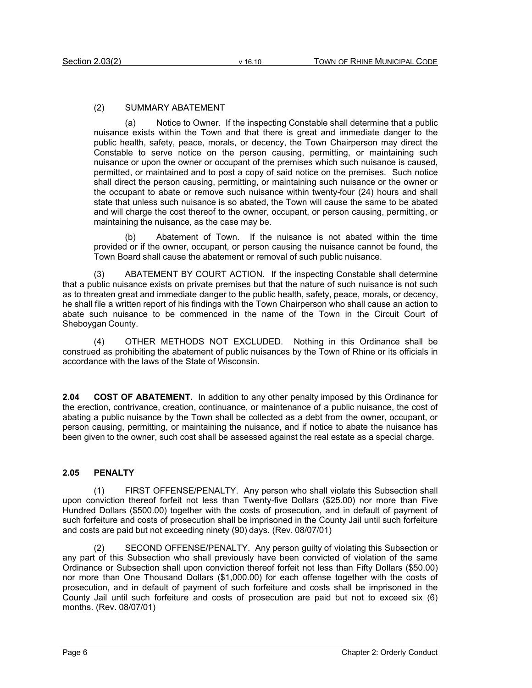# (2) SUMMARY ABATEMENT

(a) Notice to Owner. If the inspecting Constable shall determine that a public nuisance exists within the Town and that there is great and immediate danger to the public health, safety, peace, morals, or decency, the Town Chairperson may direct the Constable to serve notice on the person causing, permitting, or maintaining such nuisance or upon the owner or occupant of the premises which such nuisance is caused, permitted, or maintained and to post a copy of said notice on the premises. Such notice shall direct the person causing, permitting, or maintaining such nuisance or the owner or the occupant to abate or remove such nuisance within twenty-four (24) hours and shall state that unless such nuisance is so abated, the Town will cause the same to be abated and will charge the cost thereof to the owner, occupant, or person causing, permitting, or maintaining the nuisance, as the case may be.

(b) Abatement of Town. If the nuisance is not abated within the time provided or if the owner, occupant, or person causing the nuisance cannot be found, the Town Board shall cause the abatement or removal of such public nuisance.

(3) ABATEMENT BY COURT ACTION. If the inspecting Constable shall determine that a public nuisance exists on private premises but that the nature of such nuisance is not such as to threaten great and immediate danger to the public health, safety, peace, morals, or decency, he shall file a written report of his findings with the Town Chairperson who shall cause an action to abate such nuisance to be commenced in the name of the Town in the Circuit Court of Sheboygan County.

(4) OTHER METHODS NOT EXCLUDED. Nothing in this Ordinance shall be construed as prohibiting the abatement of public nuisances by the Town of Rhine or its officials in accordance with the laws of the State of Wisconsin.

**2.04 COST OF ABATEMENT.** In addition to any other penalty imposed by this Ordinance for the erection, contrivance, creation, continuance, or maintenance of a public nuisance, the cost of abating a public nuisance by the Town shall be collected as a debt from the owner, occupant, or person causing, permitting, or maintaining the nuisance, and if notice to abate the nuisance has been given to the owner, such cost shall be assessed against the real estate as a special charge.

#### **2.05 PENALTY**

(1) FIRST OFFENSE/PENALTY. Any person who shall violate this Subsection shall upon conviction thereof forfeit not less than Twenty-five Dollars (\$25.00) nor more than Five Hundred Dollars (\$500.00) together with the costs of prosecution, and in default of payment of such forfeiture and costs of prosecution shall be imprisoned in the County Jail until such forfeiture and costs are paid but not exceeding ninety (90) days. (Rev. 08/07/01)

(2) SECOND OFFENSE/PENALTY. Any person guilty of violating this Subsection or any part of this Subsection who shall previously have been convicted of violation of the same Ordinance or Subsection shall upon conviction thereof forfeit not less than Fifty Dollars (\$50.00) nor more than One Thousand Dollars (\$1,000.00) for each offense together with the costs of prosecution, and in default of payment of such forfeiture and costs shall be imprisoned in the County Jail until such forfeiture and costs of prosecution are paid but not to exceed six (6) months. (Rev. 08/07/01)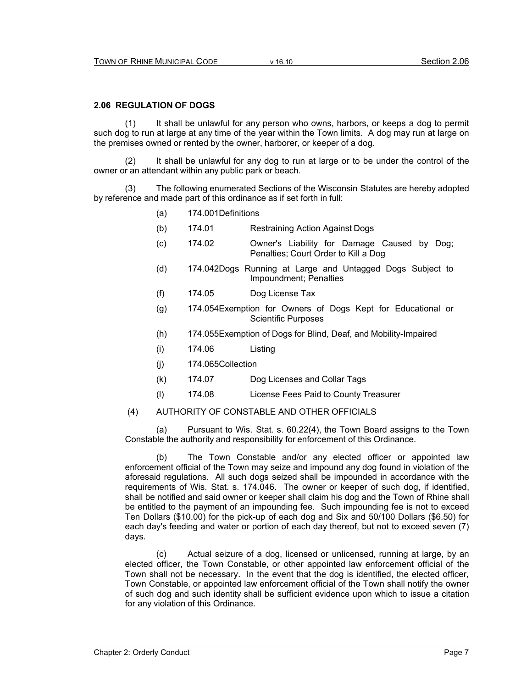# **2.06 REGULATION OF DOGS**

(1) It shall be unlawful for any person who owns, harbors, or keeps a dog to permit such dog to run at large at any time of the year within the Town limits. A dog may run at large on the premises owned or rented by the owner, harborer, or keeper of a dog.

(2) It shall be unlawful for any dog to run at large or to be under the control of the owner or an attendant within anypublic park or beach.

(3) The following enumerated Sections of the Wisconsin Statutes are hereby adopted by reference and made part of this ordinance as if set forth in full:

- (a) 174.001Definitions
- (b) 174.01 Restraining Action Against Dogs
- (c) 174.02 Owner's Liability for Damage Caused by Dog; Penalties; Court Order to Kill a Dog
- (d) 174.042Dogs Running at Large and Untagged Dogs Subject to Impoundment; Penalties
- (f) 174.05 Dog License Tax
- (g) 174.054Exemption for Owners of Dogs Kept for Educational or Scientific Purposes
- (h) 174.055Exemption of Dogs for Blind, Deaf, and Mobility-Impaired
- (i) 174.06 Listing
- (j) 174.065Collection
- (k) 174.07 Dog Licenses and Collar Tags
- (l) 174.08 License Fees Paid to County Treasurer
- (4) AUTHORITY OF CONSTABLE AND OTHER OFFICIALS

(a) Pursuant to Wis. Stat. s. 60.22(4), the Town Board assigns to the Town Constable the authority and responsibility forenforcement of this Ordinance.

(b) The Town Constable and/or any elected officer or appointed law enforcement official of the Town may seize and impound any dog found in violation of the aforesaid regulations. All such dogs seized shall be impounded in accordance with the requirements of Wis. Stat. s. 174.046. The owner or keeper of such dog, if identified, shall be notified and said owner or keeper shall claim his dog and the Town of Rhine shall be entitled to the payment of an impounding fee. Such impounding fee is not to exceed Ten Dollars (\$10.00) for the pick-up of each dog and Six and 50/100 Dollars (\$6.50) for each day's feeding and water or portion of each day thereof, but not to exceed seven (7) days.

(c) Actual seizure of a dog, licensed or unlicensed, running at large, by an elected officer, the Town Constable, or other appointed law enforcement official of the Town shall not be necessary. In the event that the dog is identified, the elected officer, Town Constable, or appointed law enforcement official of the Town shall notify the owner of such dog and such identity shall be sufficient evidence upon which to issue a citation for any violation of this Ordinance.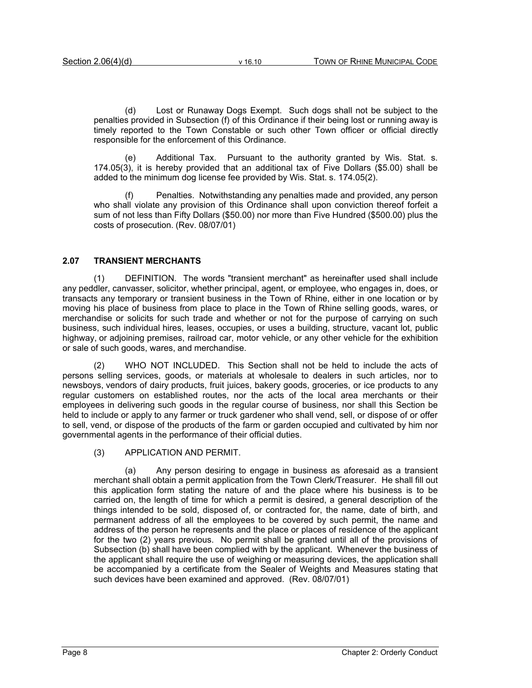(d) Lost or Runaway Dogs Exempt. Such dogs shall not be subject to the penalties provided in Subsection (f) of this Ordinance if their being lost or running away is timely reported to the Town Constable or such other Town officer or official directly responsible for the enforcement of this Ordinance.

(e) Additional Tax. Pursuant to the authority granted by Wis. Stat. s. 174.05(3), it is hereby provided that an additional tax of Five Dollars (\$5.00) shall be added to the minimum dog license fee provided by Wis. Stat. s. 174.05(2).

Penalties. Notwithstanding any penalties made and provided, any person who shall violate any provision of this Ordinance shall upon conviction thereof forfeit a sum of not less than Fifty Dollars (\$50.00) nor more than Five Hundred (\$500.00) plus the costs of prosecution. (Rev. 08/07/01)

# **2.07 TRANSIENT MERCHANTS**

(1) DEFINITION. The words "transient merchant" as hereinafter used shall include any peddler, canvasser, solicitor, whether principal, agent, or employee, who engages in, does, or transacts any temporary or transient business in the Town of Rhine, either in one location or by moving his place of business from place to place in the Town of Rhine selling goods, wares, or merchandise or solicits for such trade and whether or not for the purpose of carrying on such business, such individual hires, leases, occupies, or uses a building, structure, vacant lot, public highway, or adjoining premises, railroad car, motor vehicle, or any other vehicle for the exhibition or sale of such goods, wares, and merchandise.

(2) WHO NOT INCLUDED. This Section shall not be held to include the acts of persons selling services, goods, or materials at wholesale to dealers in such articles, nor to newsboys, vendors of dairy products, fruit juices, bakery goods, groceries, or ice products to any regular customers on established routes, nor the acts of the local area merchants or their employees in delivering such goods in the regular course of business, nor shall this Section be held to include or apply to any farmer or truck gardener who shall vend, sell, or dispose of or offer to sell, vend, or dispose of the products of the farm or garden occupied and cultivated by him nor governmental agents in the performance of their official duties.

(3) APPLICATION AND PERMIT.

(a) Any person desiring to engage in business as aforesaid as a transient merchant shall obtain a permit application from the Town Clerk/Treasurer. He shall fill out this application form stating the nature of and the place where his business is to be carried on, the length of time for which a permit is desired, a general description of the things intended to be sold, disposed of, or contracted for, the name, date of birth, and permanent address of all the employees to be covered by such permit, the name and address of the person he represents and the place or places of residence of the applicant for the two (2) years previous. No permit shall be granted until all of the provisions of Subsection (b) shall have been complied with by the applicant. Whenever the business of the applicant shall require the use of weighing or measuring devices, the application shall be accompanied by a certificate from the Sealer of Weights and Measures stating that such devices have been examined and approved. (Rev. 08/07/01)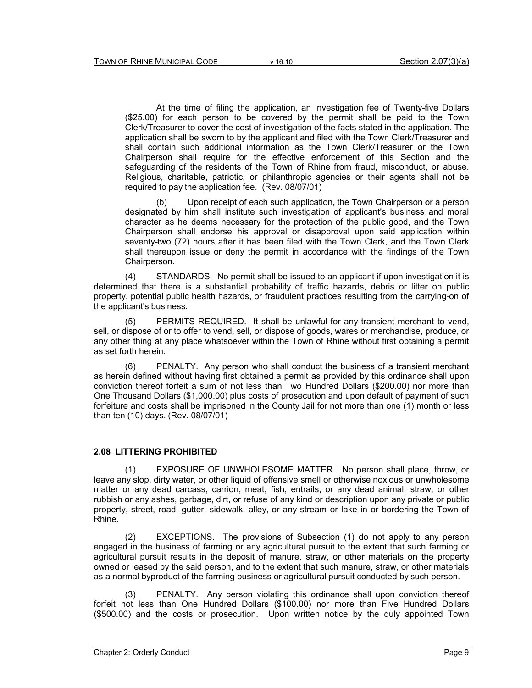At the time of filing the application, an investigation fee of Twenty-five Dollars (\$25.00) for each person to be covered by the permit shall be paid to the Town Clerk/Treasurer to cover the cost of investigation of the facts stated in the application. The application shall be sworn to by the applicant and filed with the Town Clerk/Treasurer and shall contain such additional information as the Town Clerk/Treasurer or the Town Chairperson shall require for the effective enforcement of this Section and the safeguarding of the residents of the Town of Rhine from fraud, misconduct, or abuse. Religious, charitable, patriotic, or philanthropic agencies or their agents shall not be required to pay the application fee. (Rev. 08/07/01)

(b) Upon receipt of each such application, the Town Chairperson or a person designated by him shall institute such investigation of applicant's business and moral character as he deems necessary for the protection of the public good, and the Town Chairperson shall endorse his approval or disapproval upon said application within seventy-two (72) hours after it has been filed with the Town Clerk, and the Town Clerk shall thereupon issue or deny the permit in accordance with the findings of the Town Chairperson.

(4) STANDARDS. No permit shall be issued to an applicant if upon investigation it is determined that there is a substantial probability of traffic hazards, debris or litter on public property, potential public health hazards, or fraudulent practices resulting from the carrying-on of the applicant's business.

(5) PERMITS REQUIRED. It shall be unlawful for any transient merchant to vend, sell, or dispose of or to offer to vend, sell, or dispose of goods, wares or merchandise, produce, or any other thing at any place whatsoever within the Town of Rhine without first obtaining a permit as set forth herein.

PENALTY. Any person who shall conduct the business of a transient merchant as herein defined without having first obtained a permit as provided by this ordinance shall upon conviction thereof forfeit a sum of not less than Two Hundred Dollars (\$200.00) nor more than One Thousand Dollars (\$1,000.00) plus costs of prosecution and upon default of payment of such forfeiture and costs shall be imprisoned in the County Jail for not more than one (1) month or less than ten (10) days. (Rev. 08/07/01)

# **2.08 LITTERING PROHIBITED**

(1) EXPOSURE OF UNWHOLESOME MATTER. No person shall place, throw, or leave any slop, dirty water, or other liquid of offensive smell or otherwise noxious or unwholesome matter or any dead carcass, carrion, meat, fish, entrails, or any dead animal, straw, or other rubbish or any ashes, garbage, dirt, or refuse of any kind or description upon any private or public property, street, road, gutter, sidewalk, alley, or any stream or lake in or bordering the Town of Rhine.

(2) EXCEPTIONS. The provisions of Subsection (1) do not apply to any person engaged in the business of farming or any agricultural pursuit to the extent that such farming or agricultural pursuit results in the deposit of manure, straw, or other materials on the property owned or leased by the said person, and to the extent that such manure, straw, or other materials as a normal byproduct of the farming business or agricultural pursuit conducted by such person.

(3) PENALTY. Any person violating this ordinance shall upon conviction thereof forfeit not less than One Hundred Dollars (\$100.00) nor more than Five Hundred Dollars (\$500.00) and the costs or prosecution. Upon written notice by the duly appointed Town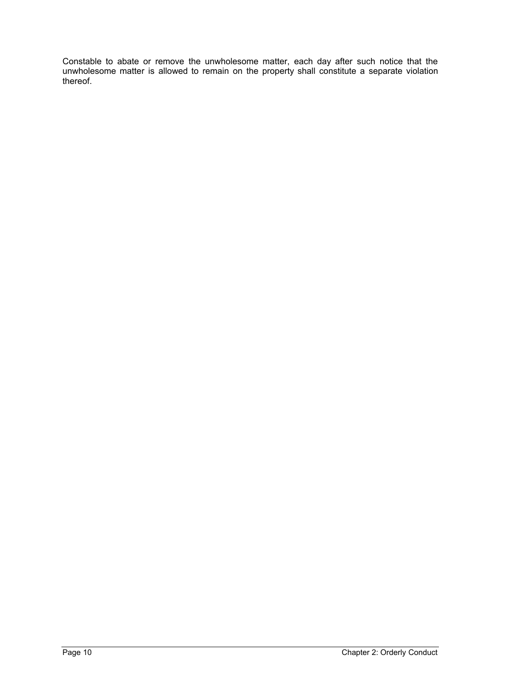Constable to abate or remove the unwholesome matter, each day after such notice that the unwholesome matter is allowed to remain on the property shall constitute a separate violation thereof.